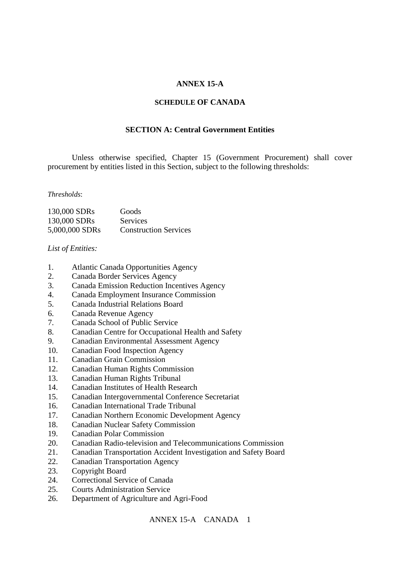# **ANNEX 15-A**

#### **SCHEDULE OF CANADA**

# **SECTION A: Central Government Entities**

Unless otherwise specified, Chapter 15 (Government Procurement) shall cover procurement by entities listed in this Section, subject to the following thresholds:

#### *Thresholds*:

| 130,000 SDRs   | Goods                        |
|----------------|------------------------------|
| 130,000 SDRs   | Services                     |
| 5,000,000 SDRs | <b>Construction Services</b> |

#### *List of Entities:*

- 1. Atlantic Canada Opportunities Agency
- 2. Canada Border Services Agency
- 3. Canada Emission Reduction Incentives Agency
- 4. Canada Employment Insurance Commission
- 5. Canada Industrial Relations Board
- 6. Canada Revenue Agency
- 7. Canada School of Public Service
- 8. Canadian Centre for Occupational Health and Safety
- 9. Canadian Environmental Assessment Agency
- 10. Canadian Food Inspection Agency
- 11. Canadian Grain Commission
- 12. Canadian Human Rights Commission
- 13. Canadian Human Rights Tribunal
- 14. Canadian Institutes of Health Research
- 15. Canadian Intergovernmental Conference Secretariat
- 16. Canadian International Trade Tribunal
- 17. Canadian Northern Economic Development Agency
- 18. Canadian Nuclear Safety Commission
- 19. Canadian Polar Commission
- 20. Canadian Radio-television and Telecommunications Commission
- 21. Canadian Transportation Accident Investigation and Safety Board
- 22. Canadian Transportation Agency
- 23. Copyright Board
- 24. Correctional Service of Canada
- 25. Courts Administration Service
- 26. Department of Agriculture and Agri-Food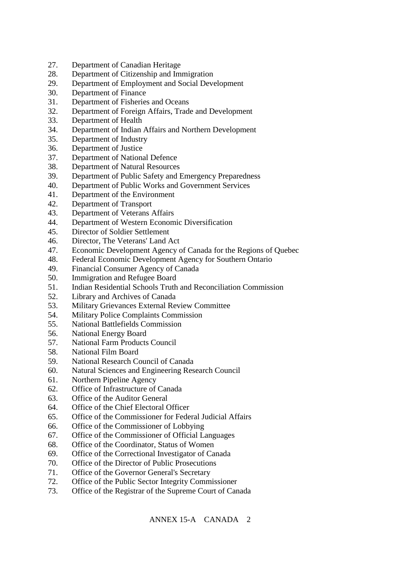- 27. Department of Canadian Heritage
- 28. Department of Citizenship and Immigration
- 29. Department of Employment and Social Development
- 30. Department of Finance
- 31. Department of Fisheries and Oceans
- 32. Department of Foreign Affairs, Trade and Development
- 33. Department of Health
- 34. Department of Indian Affairs and Northern Development
- 35. Department of Industry
- 36. Department of Justice
- 37. Department of National Defence
- 38. Department of Natural Resources
- 39. Department of Public Safety and Emergency Preparedness
- 40. Department of Public Works and Government Services
- 41. Department of the Environment
- 42. Department of Transport
- 43. Department of Veterans Affairs
- 44. Department of Western Economic Diversification
- 45. Director of Soldier Settlement
- 46. Director, The Veterans' Land Act
- 47. Economic Development Agency of Canada for the Regions of Quebec
- 48. Federal Economic Development Agency for Southern Ontario
- 49. Financial Consumer Agency of Canada
- 50. Immigration and Refugee Board
- 51. Indian Residential Schools Truth and Reconciliation Commission
- 52. Library and Archives of Canada
- 53. Military Grievances External Review Committee
- 54. Military Police Complaints Commission
- 55. National Battlefields Commission
- 56. National Energy Board
- 57. National Farm Products Council
- 58. National Film Board
- 59. National Research Council of Canada
- 60. Natural Sciences and Engineering Research Council
- 61. Northern Pipeline Agency
- 62. Office of Infrastructure of Canada
- 63. Office of the Auditor General
- 64. Office of the Chief Electoral Officer
- 65. Office of the Commissioner for Federal Judicial Affairs
- 66. Office of the Commissioner of Lobbying
- 67. Office of the Commissioner of Official Languages
- 68. Office of the Coordinator, Status of Women
- 69. Office of the Correctional Investigator of Canada
- 70. Office of the Director of Public Prosecutions
- 71. Office of the Governor General's Secretary
- 72. Office of the Public Sector Integrity Commissioner
- 73. Office of the Registrar of the Supreme Court of Canada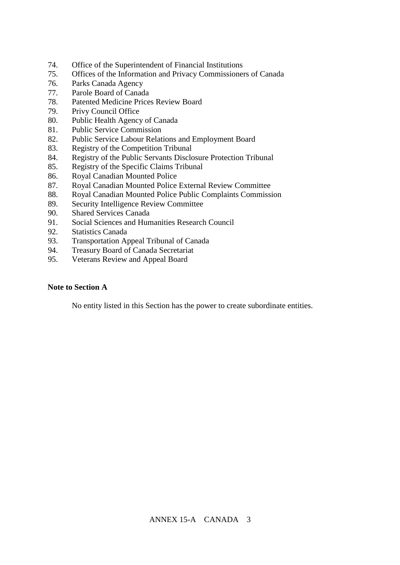- 74. Office of the Superintendent of Financial Institutions
- 75. Offices of the Information and Privacy Commissioners of Canada
- 76. Parks Canada Agency
- 77. Parole Board of Canada
- 78. Patented Medicine Prices Review Board
- 79. Privy Council Office
- 80. Public Health Agency of Canada
- 81. Public Service Commission
- 82. Public Service Labour Relations and Employment Board
- 83. Registry of the Competition Tribunal
- 84. Registry of the Public Servants Disclosure Protection Tribunal
- 85. Registry of the Specific Claims Tribunal
- 86. Royal Canadian Mounted Police
- 87. Royal Canadian Mounted Police External Review Committee
- 88. Royal Canadian Mounted Police Public Complaints Commission
- 89. Security Intelligence Review Committee
- 90. Shared Services Canada
- 91. Social Sciences and Humanities Research Council
- 92. Statistics Canada
- 93. Transportation Appeal Tribunal of Canada
- 94. Treasury Board of Canada Secretariat
- 95. Veterans Review and Appeal Board

## **Note to Section A**

No entity listed in this Section has the power to create subordinate entities.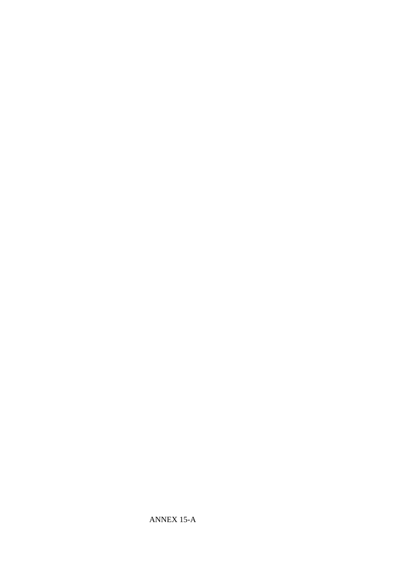ANNEX 15-A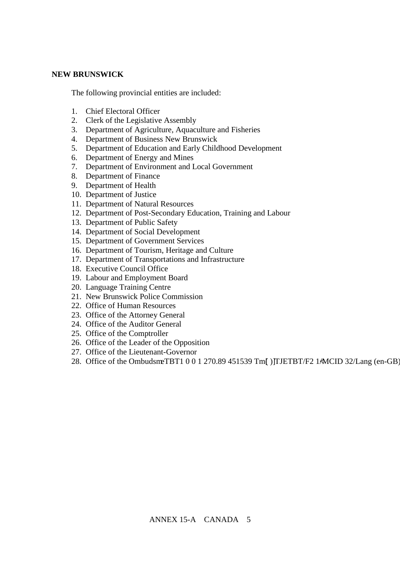## **NEW BRUNSWICK**

The following provincial entities are included:

- 1. Chief Electoral Officer
- 2. Clerk of the Legislative Assembly
- 3. Department of Agriculture, Aquaculture and Fisheries
- 4. Department of Business New Brunswick
- 5. Department of Education and Early Childhood Development
- 6. Department of Energy and Mines
- 7. Department of Environment and Local Government
- 8. Department of Finance
- 9. Department of Health
- 10. Department of Justice
- 11. Department of Natural Resources
- 12. Department of Post-Secondary Education, Training and Labour
- 13. Department of Public Safety
- 14. Department of Social Development
- 15. Department of Government Services
- 16. Department of Tourism, Heritage and Culture
- 17. Department of Transportations and Infrastructure
- 18. Executive Council Office
- 19. Labour and Employment Board
- 20. Language Training Centre
- 21. New Brunswick Police Commission
- 22. Office of Human Resources
- 23. Office of the Attorney General
- 24. Office of the Auditor General
- 25. Office of the Comptroller
- 26. Office of the Leader of the Opposition
- 27. Office of the Lieutenant-Governor
- 28. Office of the OmbudsmeTBT1 0 0 1 270.89 451539 Tm[) JTJETBT/F2 1AMCID 32/Lang (en-GB)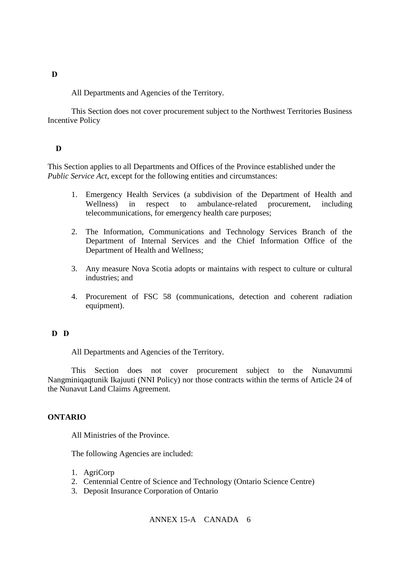#### **†NORTHWEST TERRITORIES**

All Departments and Agencies of the Territory.

This Section does not cover procurement subject to the Northwest Territories Business Incentive Policy

## **D**

This Section applies to all Departments and Offices of the Province established under the *Public Service Act*, except for the following entities and circumstances:

- 1. Emergency Health Services (a subdivision of the Department of Health and Wellness) in respect to ambulance-related procurement, including telecommunications, for emergency health care purposes;
- 2. The Information, Communications and Technology Services Branch of the Department of Internal Services and the Chief Information Office of the Department of Health and Wellness;
- 3. Any measure Nova Scotia adopts or maintains with respect to culture or cultural industries; and
- 4. Procurement of FSC 58 (communications, detection and coherent radiation equipment).

# **D** D

All Departments and Agencies of the Territory.

This Section does not cover procurement subject to the Nunavummi Nangminiqaqtunik Ikajuuti (NNI Policy) nor those contracts within the terms of Article 24 of the Nunavut Land Claims Agreement.

## **ONTARIO**

All Ministries of the Province.

The following Agencies are included:

- 1. AgriCorp
- 2. Centennial Centre of Science and Technology (Ontario Science Centre)
- 3. Deposit Insurance Corporation of Ontario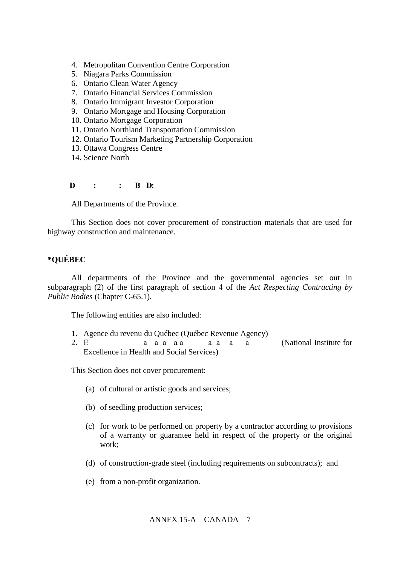- 4. Metropolitan Convention Centre Corporation
- 5. Niagara Parks Commission
- 6. Ontario Clean Water Agency
- 7. Ontario Financial Services Commission
- 8. Ontario Immigrant Investor Corporation
- 9. Ontario Mortgage and Housing Corporation
- 10. Ontario Mortgage Corporation
- 11. Ontario Northland Transportation Commission
- 12. Ontario Tourism Marketing Partnership Corporation
- 13. Ottawa Congress Centre
- 14. Science North

#### **D** : : B D:

All Departments of the Province.

This Section does not cover procurement of construction materials that are used for highway construction and maintenance.

## **\*QUÉBEC**

All departments of the Province and the governmental agencies set out in subparagraph (2) of the first paragraph of section 4 of the *Act Respecting Contracting by Public Bodies* (Chapter C-65.1).

The following entities are also included:

- 1. Agence du revenu du Québec (Québec Revenue Agency)
- 2. E a santé en santé en santé en santé en santé en santé en service en service en service en service en servi Excellence in Health and Social Services)

This Section does not cover procurement:

- (a) of cultural or artistic goods and services;
- (b) of seedling production services;
- (c) for work to be performed on property by a contractor according to provisions of a warranty or guarantee held in respect of the property or the original work;
- (d) of construction-grade steel (including requirements on subcontracts); and
- (e) from a non-profit organization.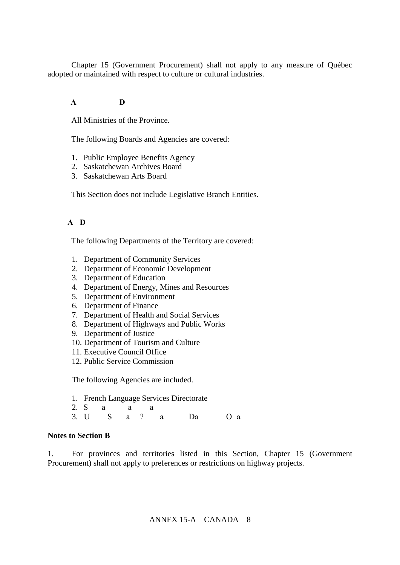Chapter 15 (Government Procurement) shall not apply to any measure of Québec adopted or maintained with respect to culture or cultural industries.

# **A D**

All Ministries of the Province.

The following Boards and Agencies are covered:

- 1. Public Employee Benefits Agency
- 2. Saskatchewan Archives Board
- 3. Saskatchewan Arts Board

This Section does not include Legislative Branch Entities.

## **A D**

The following Departments of the Territory are covered:

- 1. Department of Community Services
- 2. Department of Economic Development
- 3. Department of Education
- 4. Department of Energy, Mines and Resources
- 5. Department of Environment
- 6. Department of Finance
- 7. Department of Health and Social Services
- 8. Department of Highways and Public Works
- 9. Department of Justice
- 10. Department of Tourism and Culture
- 11. Executive Council Office
- 12. Public Service Commission

The following Agencies are included.

- 1. French Language Services Directorate
- 2. S  $a$   $a$   $a$
- 3. US a  $\frac{1}{2}$  a Da O a

## **Notes to Section B**

1. For provinces and territories listed in this Section, Chapter 15 (Government Procurement) shall not apply to preferences or restrictions on highway projects.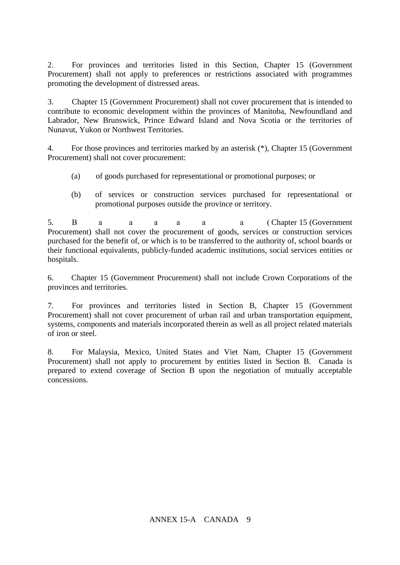2. For provinces and territories listed in this Section, Chapter 15 (Government Procurement) shall not apply to preferences or restrictions associated with programmes promoting the development of distressed areas.

3. Chapter 15 (Government Procurement) shall not cover procurement that is intended to contribute to economic development within the provinces of Manitoba, Newfoundland and Labrador, New Brunswick, Prince Edward Island and Nova Scotia or the territories of Nunavut, Yukon or Northwest Territories.

4. For those provinces and territories marked by an asterisk (\*), Chapter 15 (Government Procurement) shall not cover procurement:

- (a) of goods purchased for representational or promotional purposes; or
- (b) of services or construction services purchased for representational or promotional purposes outside the province or territory.

5. B a a a a a a a (Chapter 15 (Government Procurement) shall not cover the procurement of goods, services or construction services purchased for the benefit of, or which is to be transferred to the authority of, school boards or their functional equivalents, publicly-funded academic institutions, social services entities or hospitals.

6. Chapter 15 (Government Procurement) shall not include Crown Corporations of the provinces and territories.

7. For provinces and territories listed in Section B, Chapter 15 (Government Procurement) shall not cover procurement of urban rail and urban transportation equipment, systems, components and materials incorporated therein as well as all project related materials of iron or steel.

8. For Malaysia, Mexico, United States and Viet Nam, Chapter 15 (Government Procurement) shall not apply to procurement by entities listed in Section B. Canada is prepared to extend coverage of Section B upon the negotiation of mutually acceptable concessions.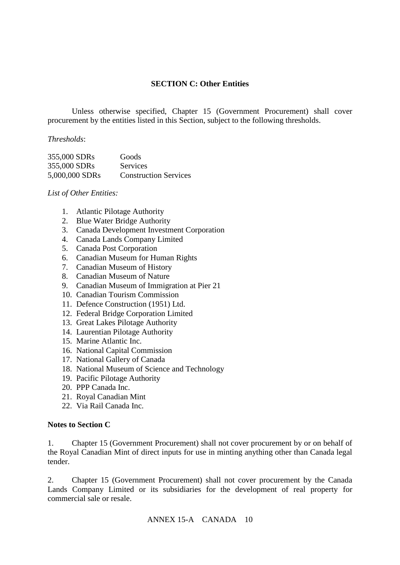## **SECTION C: Other Entities**

Unless otherwise specified, Chapter 15 (Government Procurement) shall cover procurement by the entities listed in this Section, subject to the following thresholds.

## *Thresholds*:

| 355,000 SDRs   | Goods                        |
|----------------|------------------------------|
| 355,000 SDRs   | <b>Services</b>              |
| 5,000,000 SDRs | <b>Construction Services</b> |

#### *List of Other Entities:*

- 1. Atlantic Pilotage Authority
- 2. Blue Water Bridge Authority
- 3. Canada Development Investment Corporation
- 4. Canada Lands Company Limited
- 5. Canada Post Corporation
- 6. Canadian Museum for Human Rights
- 7. Canadian Museum of History
- 8. Canadian Museum of Nature
- 9. Canadian Museum of Immigration at Pier 21
- 10. Canadian Tourism Commission
- 11. Defence Construction (1951) Ltd.
- 12. Federal Bridge Corporation Limited
- 13. Great Lakes Pilotage Authority
- 14. Laurentian Pilotage Authority
- 15. Marine Atlantic Inc.
- 16. National Capital Commission
- 17. National Gallery of Canada
- 18. National Museum of Science and Technology
- 19. Pacific Pilotage Authority
- 20. PPP Canada Inc.
- 21. Royal Canadian Mint
- 22. Via Rail Canada Inc.

#### **Notes to Section C**

1. Chapter 15 (Government Procurement) shall not cover procurement by or on behalf of the Royal Canadian Mint of direct inputs for use in minting anything other than Canada legal tender.

2. Chapter 15 (Government Procurement) shall not cover procurement by the Canada Lands Company Limited or its subsidiaries for the development of real property for commercial sale or resale.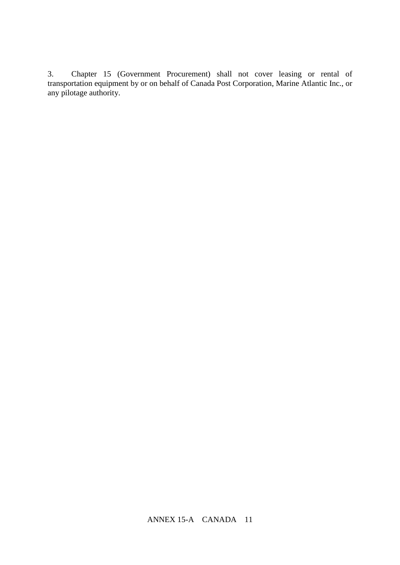3. Chapter 15 (Government Procurement) shall not cover leasing or rental of transportation equipment by or on behalf of Canada Post Corporation, Marine Atlantic Inc., or any pilotage authority.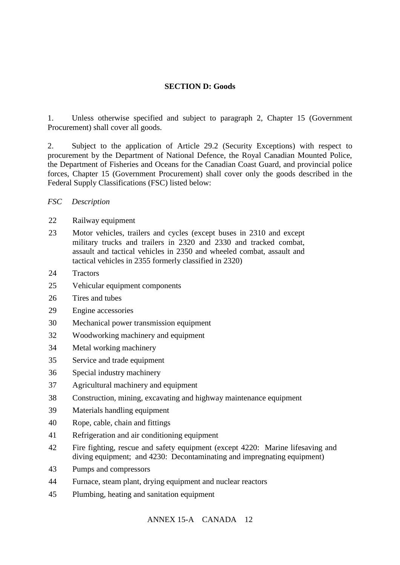## **SECTION D: Goods**

1. Unless otherwise specified and subject to paragraph 2, Chapter 15 (Government Procurement) shall cover all goods.

2. Subject to the application of Article 29.2 (Security Exceptions) with respect to procurement by the Department of National Defence, the Royal Canadian Mounted Police, the Department of Fisheries and Oceans for the Canadian Coast Guard, and provincial police forces, Chapter 15 (Government Procurement) shall cover only the goods described in the Federal Supply Classifications (FSC) listed below:

## *FSC Description*

#### 22 Railway equipment

- 23 Motor vehicles, trailers and cycles (except buses in 2310 and except military trucks and trailers in 2320 and 2330 and tracked combat, assault and tactical vehicles in 2350 and wheeled combat, assault and tactical vehicles in 2355 formerly classified in 2320)
- 24 Tractors
- 25 Vehicular equipment components
- 26 Tires and tubes
- 29 Engine accessories
- 30 Mechanical power transmission equipment
- 32 Woodworking machinery and equipment
- 34 Metal working machinery
- 35 Service and trade equipment
- 36 Special industry machinery
- 37 Agricultural machinery and equipment
- 38 Construction, mining, excavating and highway maintenance equipment
- 39 Materials handling equipment
- 40 Rope, cable, chain and fittings
- 41 Refrigeration and air conditioning equipment
- 42 Fire fighting, rescue and safety equipment (except 4220: Marine lifesaving and diving equipment; and 4230: Decontaminating and impregnating equipment)
- 43 Pumps and compressors
- 44 Furnace, steam plant, drying equipment and nuclear reactors
- 45 Plumbing, heating and sanitation equipment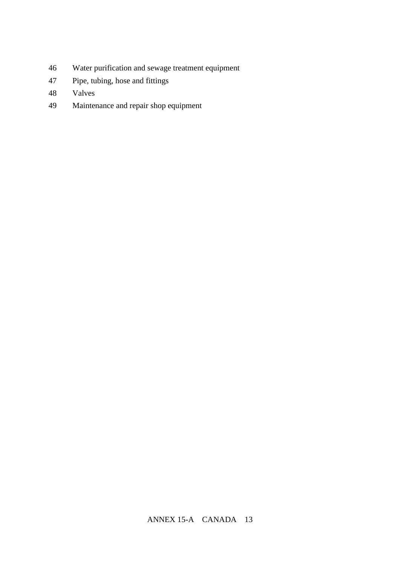- Water purification and sewage treatment equipment
- Pipe, tubing, hose and fittings
- Valves
- Maintenance and repair shop equipment
- Measuring tools
-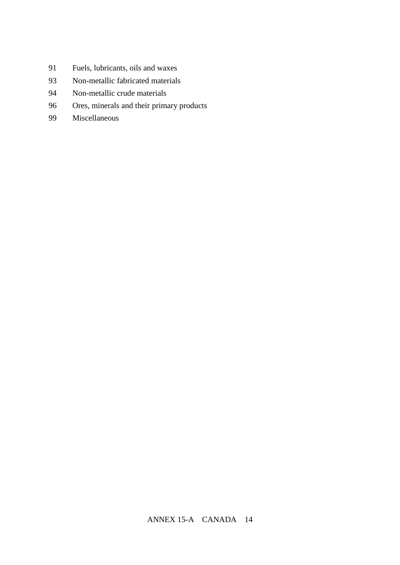- Fuels, lubricants, oils and waxes
- Non-metallic fabricated materials
- Non-metallic crude materials
- Ores, minerals and their primary products
- Miscellaneous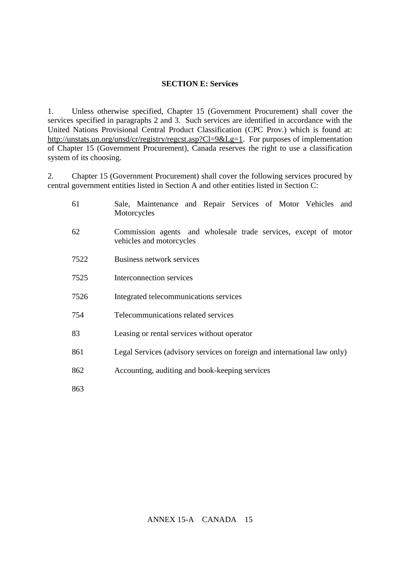## **SECTION E: Services**

1. Unless otherwise specified, Chapter 15 (Government Procurement) shall cover the services specified in paragraphs 2 and 3. Such services are identified in accordance with the United Nations Provisional Central Product Classification (CPC Prov.) which is found at: [http://unstats.un.org/unsd/cr/registry/regcst.asp?Cl=9&Lg=1.](http://unstats.un.org/unsd/cr/registry/regcst.asp?Cl=9&Lg=1) For purposes of implementation of Chapter 15 (Government Procurement), Canada reserves the right to use a classification system of its choosing.

2. Chapter 15 (Government Procurement) shall cover the following services procured by central government entities listed in Section A and other entities listed in Section C:

| 61   | Sale, Maintenance and Repair Services of Motor Vehicles and<br>Motorcycles                  |
|------|---------------------------------------------------------------------------------------------|
| 62   | Commission agents and wholesale trade services, except of motor<br>vehicles and motorcycles |
| 7522 | Business network services                                                                   |
| 7525 | Interconnection services                                                                    |
| 7526 | Integrated telecommunications services                                                      |
| 754  | Telecommunications related services                                                         |
| 83   | Leasing or rental services without operator                                                 |
| 861  | Legal Services (advisory services on foreign and international law only)                    |
| 862  | Accounting, auditing and book-keeping services                                              |
| 863  |                                                                                             |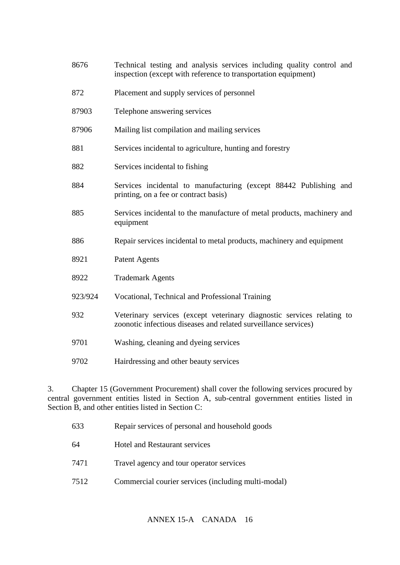- 8676 Technical testing and analysis services including quality control and inspection (except with reference to transportation equipment)
- 872 Placement and supply services of personnel
- 87903 Telephone answering services
- 87906 Mailing list compilation and mailing services
- 881 Services incidental to agriculture, hunting and forestry
- 882 Services incidental to fishing
- 884 Services incidental to manufacturing (except 88442 Publishing and printing, on a fee or contract basis)
- 885 Services incidental to the manufacture of metal products, machinery and equipment
- 886 Repair services incidental to metal products, machinery and equipment
- 8921 Patent Agents
- 8922 Trademark Agents
- 923/924 Vocational, Technical and Professional Training
- 932 Veterinary services (except veterinary diagnostic services relating to zoonotic infectious diseases and related surveillance services)
- 9701 Washing, cleaning and dyeing services
- 9702 Hairdressing and other beauty services

3. Chapter 15 (Government Procurement) shall cover the following services procured by central government entities listed in Section A, sub-central government entities listed in Section B, and other entities listed in Section C:

| 633  | Repair services of personal and household goods     |
|------|-----------------------------------------------------|
| 64   | <b>Hotel and Restaurant services</b>                |
| 7471 | Travel agency and tour operator services            |
| 7512 | Commercial courier services (including multi-modal) |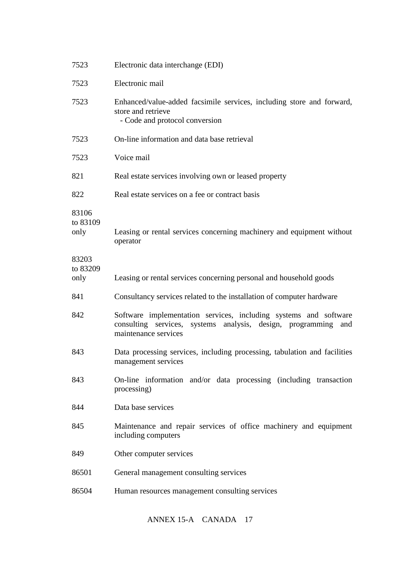| 7523                      | Electronic data interchange (EDI)                                                                                                                                |
|---------------------------|------------------------------------------------------------------------------------------------------------------------------------------------------------------|
| 7523                      | Electronic mail                                                                                                                                                  |
| 7523                      | Enhanced/value-added facsimile services, including store and forward,<br>store and retrieve<br>- Code and protocol conversion                                    |
| 7523                      | On-line information and data base retrieval                                                                                                                      |
| 7523                      | Voice mail                                                                                                                                                       |
| 821                       | Real estate services involving own or leased property                                                                                                            |
| 822                       | Real estate services on a fee or contract basis                                                                                                                  |
| 83106<br>to 83109<br>only | Leasing or rental services concerning machinery and equipment without<br>operator                                                                                |
| 83203<br>to 83209<br>only | Leasing or rental services concerning personal and household goods                                                                                               |
| 841                       | Consultancy services related to the installation of computer hardware                                                                                            |
| 842                       | Software implementation services, including systems and software<br>consulting services,<br>systems analysis, design, programming<br>and<br>maintenance services |
| 843                       | Data processing services, including processing, tabulation and facilities<br>management services                                                                 |
| 843                       | On-line information and/or data processing (including transaction<br>processing)                                                                                 |
| 844                       | Data base services                                                                                                                                               |
| 845                       | Maintenance and repair services of office machinery and equipment<br>including computers                                                                         |
| 849                       | Other computer services                                                                                                                                          |
| 86501                     | General management consulting services                                                                                                                           |
| 86504                     | Human resources management consulting services                                                                                                                   |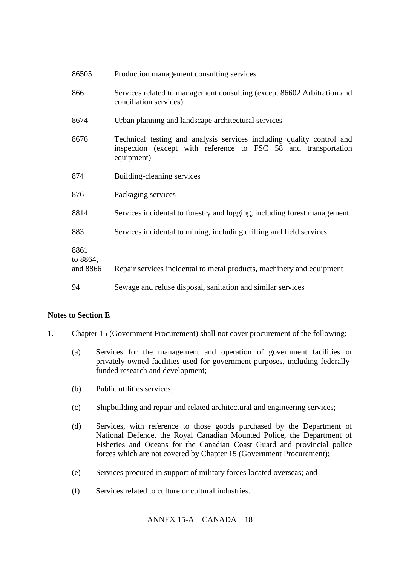| 86505                        | Production management consulting services                                                                                                             |
|------------------------------|-------------------------------------------------------------------------------------------------------------------------------------------------------|
| 866                          | Services related to management consulting (except 86602 Arbitration and<br>conciliation services)                                                     |
| 8674                         | Urban planning and landscape architectural services                                                                                                   |
| 8676                         | Technical testing and analysis services including quality control and<br>inspection (except with reference to FSC 58 and transportation<br>equipment) |
| 874                          | Building-cleaning services                                                                                                                            |
| 876                          | Packaging services                                                                                                                                    |
| 8814                         | Services incidental to forestry and logging, including forest management                                                                              |
| 883                          | Services incidental to mining, including drilling and field services                                                                                  |
| 8861<br>to 8864,<br>and 8866 | Repair services incidental to metal products, machinery and equipment                                                                                 |
| 94                           | Sewage and refuse disposal, sanitation and similar services                                                                                           |

# **Notes to Section E**

- 1. Chapter 15 (Government Procurement) shall not cover procurement of the following:
	- (a) Services for the management and operation of government facilities or privately owned facilities used for government purposes, including federallyfunded research and development;
	- (b) Public utilities services;
	- (c) Shipbuilding and repair and related architectural and engineering services;
	- (d) Services, with reference to those goods purchased by the Department of National Defence, the Royal Canadian Mounted Police, the Department of Fisheries and Oceans for the Canadian Coast Guard and provincial police forces which are not covered by Chapter 15 (Government Procurement);
	- (e) Services procured in support of military forces located overseas; and
	- (f) Services related to culture or cultural industries.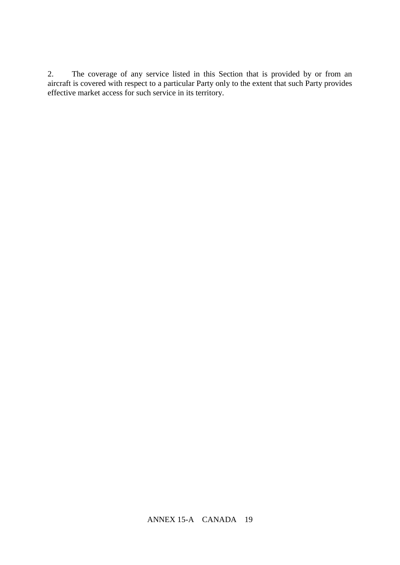2. The coverage of any service listed in this Section that is provided by or from an aircraft is covered with respect to a particular Party only to the extent that such Party provides effective market access for such service in its territory.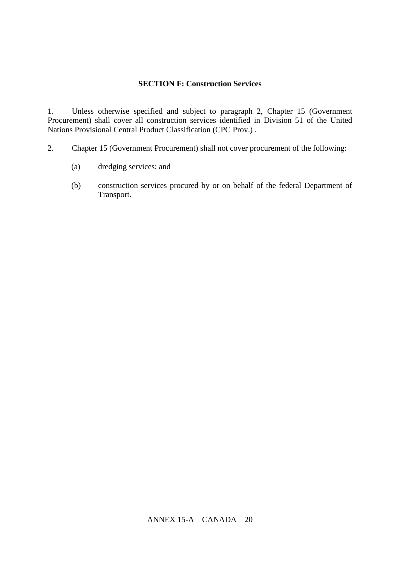# **SECTION F: Construction Services**

1. Unless otherwise specified and subject to paragraph 2, Chapter 15 (Government Procurement) shall cover all construction services identified in Division 51 of the United Nations Provisional Central Product Classification (CPC Prov.) .

- 2. Chapter 15 (Government Procurement) shall not cover procurement of the following:
	- (a) dredging services; and
	- (b) construction services procured by or on behalf of the federal Department of Transport.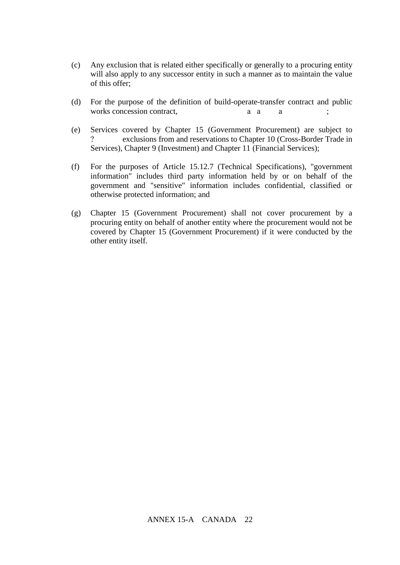- (c) Any exclusion that is related either specifically or generally to a procuring entity will also apply to any successor entity in such a manner as to maintain the value of this offer;
- (d) For the purpose of the definition of build-operate-transfer contract and public works concession contract, a contractual arrangement arrangement of the contractual arrangement of the contract
- (e) Services covered by Chapter 15 (Government Procurement) are subject to exclusions from and reservations to Chapter 10 (Cross-Border Trade in Services), Chapter 9 (Investment) and Chapter 11 (Financial Services);
- (f) For the purposes of Article 15.12.7 (Technical Specifications), "government information" includes third party information held by or on behalf of the government and "sensitive" information includes confidential, classified or otherwise protected information; and
- (g) Chapter 15 (Government Procurement) shall not cover procurement by a procuring entity on behalf of another entity where the procurement would not be covered by Chapter 15 (Government Procurement) if it were conducted by the other entity itself.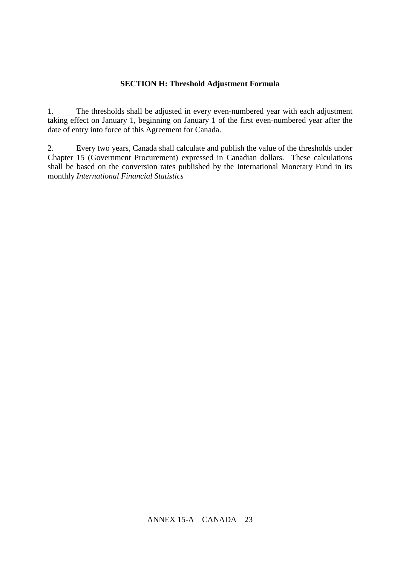#### **SECTION H: Threshold Adjustment Formula**

1. The thresholds shall be adjusted in every even-numbered year with each adjustment taking effect on January 1, beginning on January 1 of the first even-numbered year after the date of entry into force of this Agreement for Canada.

2. Every two years, Canada shall calculate and publish the value of the thresholds under Chapter 15 (Government Procurement) expressed in Canadian dollars. These calculations shall be based on the conversion rates published by the International Monetary Fund in its monthly *International Financial Statistics*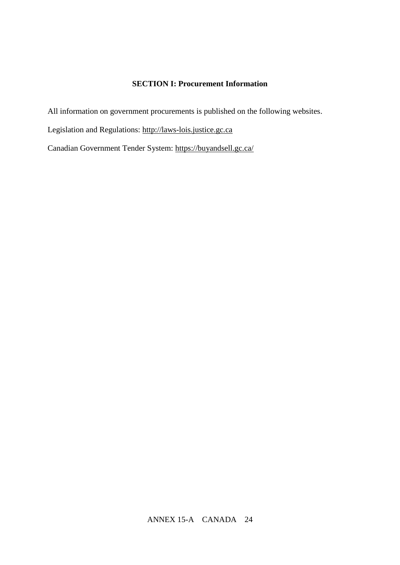# **SECTION I: Procurement Information**

All information on government procurements is published on the following websites.

Legislation and Regulations: [http://laws-lois.justice.gc.ca](http://laws-lois.justice.gc.ca/)

Canadian Government Tender System: https://buyandsell.gc.ca/